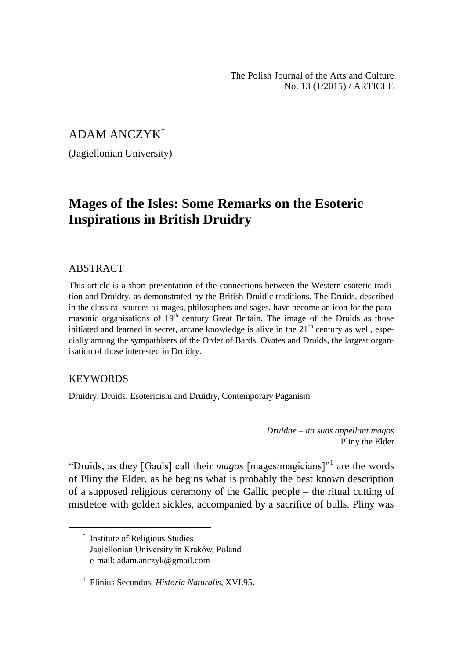The Polish Journal of the Arts and Culture No. 13 (1/2015) / ARTICLE

# ADAM ANCZYK\*

(Jagiellonian University)

# **Mages of the Isles: Some Remarks on the Esoteric Inspirations in British Druidry**

#### **ABSTRACT**

This article is a short presentation of the connections between the Western esoteric tradition and Druidry, as demonstrated by the British Druidic traditions. The Druids, described in the classical sources as mages, philosophers and sages, have become an icon for the paramasonic organisations of  $19<sup>th</sup>$  century Great Britain. The image of the Druids as those initiated and learned in secret, arcane knowledge is alive in the  $21<sup>th</sup>$  century as well, especially among the sympathisers of the Order of Bards, Ovates and Druids, the largest organisation of those interested in Druidry.

### **KEYWORDS**

 $\overline{a}$ 

Druidry, Druids, Esotericism and Druidry, Contemporary Paganism

*Druidae – ita suos appellant magos* Pliny the Elder

"Druids, as they [Gauls] call their *magos* [mages/magicians]"<sup>1</sup> are the words of Pliny the Elder, as he begins what is probably the best known description of a supposed religious ceremony of the Gallic people – the ritual cutting of mistletoe with golden sickles, accompanied by a sacrifice of bulls. Pliny was

<sup>\*</sup> Institute of Religious Studies Jagiellonian University in Kraków, Poland e-mail: adam.anczyk@gmail.com

<sup>1</sup> Plinius Secundus, *Historia Naturalis*, XVI.95.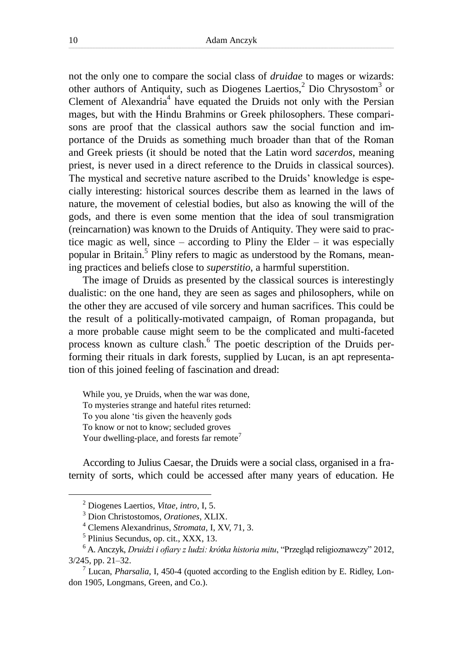not the only one to compare the social class of *druidae* to mages or wizards: other authors of Antiquity, such as Diogenes Laertios,<sup>2</sup> Dio Chrysostom<sup>3</sup> or Clement of Alexandria<sup>4</sup> have equated the Druids not only with the Persian mages, but with the Hindu Brahmins or Greek philosophers. These comparisons are proof that the classical authors saw the social function and importance of the Druids as something much broader than that of the Roman and Greek priests (it should be noted that the Latin word *sacerdos*, meaning priest, is never used in a direct reference to the Druids in classical sources). The mystical and secretive nature ascribed to the Druids' knowledge is especially interesting: historical sources describe them as learned in the laws of nature, the movement of celestial bodies, but also as knowing the will of the gods, and there is even some mention that the idea of soul transmigration (reincarnation) was known to the Druids of Antiquity. They were said to practice magic as well, since – according to Pliny the Elder – it was especially popular in Britain.<sup>5</sup> Pliny refers to magic as understood by the Romans, meaning practices and beliefs close to *superstitio*, a harmful superstition.

The image of Druids as presented by the classical sources is interestingly dualistic: on the one hand, they are seen as sages and philosophers, while on the other they are accused of vile sorcery and human sacrifices. This could be the result of a politically-motivated campaign, of Roman propaganda, but a more probable cause might seem to be the complicated and multi-faceted process known as culture clash.<sup>6</sup> The poetic description of the Druids performing their rituals in dark forests, supplied by Lucan, is an apt representation of this joined feeling of fascination and dread:

While you, ye Druids, when the war was done, To mysteries strange and hateful rites returned: To you alone 'tis given the heavenly gods To know or not to know; secluded groves Your dwelling-place, and forests far remote<sup>7</sup>

According to Julius Caesar, the Druids were a social class, organised in a fraternity of sorts, which could be accessed after many years of education. He

<sup>2</sup> Diogenes Laertios, *Vitae, intro*, I, 5.

<sup>3</sup> Dion Christostomos, *Orationes*, XLIX.

<sup>4</sup> Clemens Alexandrinus, *Stromata*, I, XV, 71, 3.

<sup>5</sup> Plinius Secundus, op. cit., XXX, 13.

<sup>6</sup> A. Anczyk, *Druidzi i ofiary z ludzi: krótka historia mitu*, "Przegląd religioznawczy" 2012, 3/245, pp. 21–32.

<sup>7</sup> Lucan, *Pharsalia*, I, 450-4 (quoted according to the English edition by E. Ridley, London 1905, Longmans, Green, and Co.).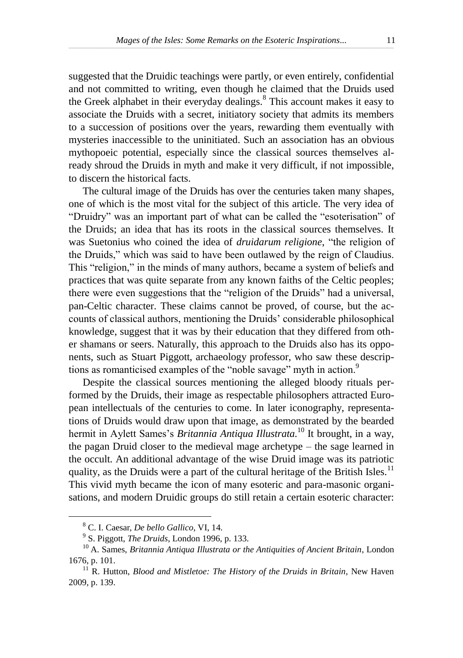suggested that the Druidic teachings were partly, or even entirely, confidential and not committed to writing, even though he claimed that the Druids used the Greek alphabet in their everyday dealings.<sup>8</sup> This account makes it easy to associate the Druids with a secret, initiatory society that admits its members to a succession of positions over the years, rewarding them eventually with mysteries inaccessible to the uninitiated. Such an association has an obvious mythopoeic potential, especially since the classical sources themselves already shroud the Druids in myth and make it very difficult, if not impossible, to discern the historical facts.

The cultural image of the Druids has over the centuries taken many shapes, one of which is the most vital for the subject of this article. The very idea of "Druidry" was an important part of what can be called the "esoterisation" of the Druids; an idea that has its roots in the classical sources themselves. It was Suetonius who coined the idea of *druidarum religione*, "the religion of the Druids," which was said to have been outlawed by the reign of Claudius. This "religion," in the minds of many authors, became a system of beliefs and practices that was quite separate from any known faiths of the Celtic peoples; there were even suggestions that the "religion of the Druids" had a universal, pan-Celtic character. These claims cannot be proved, of course, but the accounts of classical authors, mentioning the Druids' considerable philosophical knowledge, suggest that it was by their education that they differed from other shamans or seers. Naturally, this approach to the Druids also has its opponents, such as Stuart Piggott, archaeology professor, who saw these descriptions as romanticised examples of the "noble savage" myth in action.<sup>9</sup>

Despite the classical sources mentioning the alleged bloody rituals performed by the Druids, their image as respectable philosophers attracted European intellectuals of the centuries to come. In later iconography, representations of Druids would draw upon that image, as demonstrated by the bearded hermit in Aylett Sames's *Britannia Antiqua Illustrata.*<sup>10</sup> It brought, in a way, the pagan Druid closer to the medieval mage archetype – the sage learned in the occult. An additional advantage of the wise Druid image was its patriotic quality, as the Druids were a part of the cultural heritage of the British Isles.<sup>11</sup> This vivid myth became the icon of many esoteric and para-masonic organisations, and modern Druidic groups do still retain a certain esoteric character:

<sup>8</sup> C. I. Caesar, *De bello Gallico*, VI, 14.

<sup>9</sup> S. Piggott, *The Druids*, London 1996, p. 133.

<sup>10</sup> A. Sames, *Britannia Antiqua Illustrata or the Antiquities of Ancient Britain*, London 1676, p. 101.

<sup>&</sup>lt;sup>11</sup> R. Hutton, *Blood and Mistletoe: The History of the Druids in Britain*, New Haven 2009, p. 139.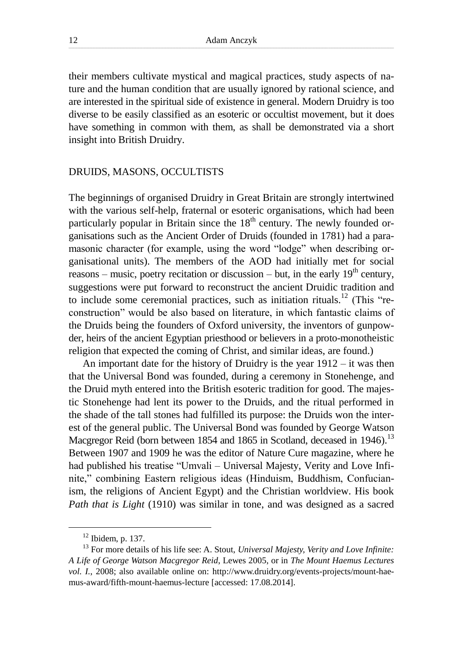their members cultivate mystical and magical practices, study aspects of nature and the human condition that are usually ignored by rational science, and are interested in the spiritual side of existence in general. Modern Druidry is too diverse to be easily classified as an esoteric or occultist movement, but it does have something in common with them, as shall be demonstrated via a short insight into British Druidry.

#### DRUIDS, MASONS, OCCULTISTS

The beginnings of organised Druidry in Great Britain are strongly intertwined with the various self-help, fraternal or esoteric organisations, which had been particularly popular in Britain since the  $18<sup>th</sup>$  century. The newly founded organisations such as the Ancient Order of Druids (founded in 1781) had a paramasonic character (for example, using the word "lodge" when describing organisational units). The members of the AOD had initially met for social reasons – music, poetry recitation or discussion – but, in the early  $19<sup>th</sup>$  century, suggestions were put forward to reconstruct the ancient Druidic tradition and to include some ceremonial practices, such as initiation rituals.<sup>12</sup> (This "reconstruction" would be also based on literature, in which fantastic claims of the Druids being the founders of Oxford university, the inventors of gunpowder, heirs of the ancient Egyptian priesthood or believers in a proto-monotheistic religion that expected the coming of Christ, and similar ideas, are found.)

An important date for the history of Druidry is the year 1912 – it was then that the Universal Bond was founded, during a ceremony in Stonehenge, and the Druid myth entered into the British esoteric tradition for good. The majestic Stonehenge had lent its power to the Druids, and the ritual performed in the shade of the tall stones had fulfilled its purpose: the Druids won the interest of the general public. The Universal Bond was founded by George Watson Macgregor Reid (born between 1854 and 1865 in Scotland, deceased in 1946).<sup>13</sup> Between 1907 and 1909 he was the editor of Nature Cure magazine, where he had published his treatise "Umvali – Universal Majesty, Verity and Love Infinite," combining Eastern religious ideas (Hinduism, Buddhism, Confucianism, the religions of Ancient Egypt) and the Christian worldview. His book *Path that is Light* (1910) was similar in tone, and was designed as a sacred

 $12$  Ibidem, p. 137.

<sup>13</sup> For more details of his life see: A. Stout, *Universal Majesty, Verity and Love Infinite: A Life of George Watson Macgregor Reid*, Lewes 2005, or in *The Mount Haemus Lectures vol. I.*, 2008; also available online on: http://www.druidry.org/events-projects/mount-haemus-award/fifth-mount-haemus-lecture [accessed: 17.08.2014].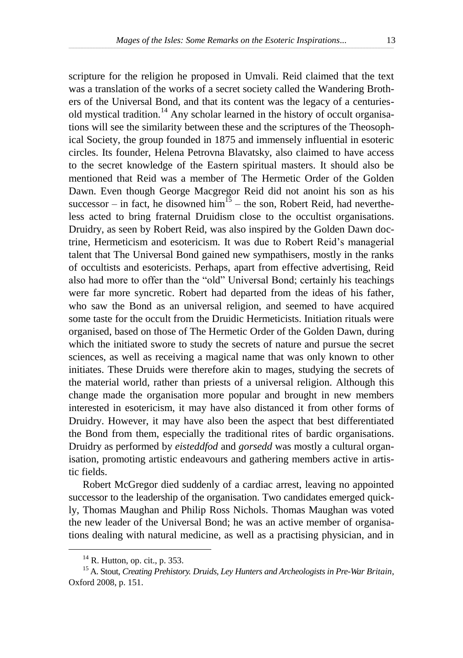scripture for the religion he proposed in Umvali. Reid claimed that the text was a translation of the works of a secret society called the Wandering Brothers of the Universal Bond, and that its content was the legacy of a centuriesold mystical tradition.<sup>14</sup> Any scholar learned in the history of occult organisations will see the similarity between these and the scriptures of the Theosophical Society, the group founded in 1875 and immensely influential in esoteric circles. Its founder, Helena Petrovna Blavatsky, also claimed to have access to the secret knowledge of the Eastern spiritual masters. It should also be mentioned that Reid was a member of The Hermetic Order of the Golden Dawn. Even though George Macgregor Reid did not anoint his son as his successor – in fact, he disowned  $\lim_{n \to \infty} 1^5$  – the son, Robert Reid, had nevertheless acted to bring fraternal Druidism close to the occultist organisations. Druidry, as seen by Robert Reid, was also inspired by the Golden Dawn doctrine, Hermeticism and esotericism. It was due to Robert Reid's managerial talent that The Universal Bond gained new sympathisers, mostly in the ranks of occultists and esotericists. Perhaps, apart from effective advertising, Reid also had more to offer than the "old" Universal Bond; certainly his teachings were far more syncretic. Robert had departed from the ideas of his father, who saw the Bond as an universal religion, and seemed to have acquired some taste for the occult from the Druidic Hermeticists. Initiation rituals were organised, based on those of The Hermetic Order of the Golden Dawn, during which the initiated swore to study the secrets of nature and pursue the secret sciences, as well as receiving a magical name that was only known to other initiates. These Druids were therefore akin to mages, studying the secrets of the material world, rather than priests of a universal religion. Although this change made the organisation more popular and brought in new members interested in esotericism, it may have also distanced it from other forms of Druidry. However, it may have also been the aspect that best differentiated the Bond from them, especially the traditional rites of bardic organisations. Druidry as performed by *eisteddfod* and *gorsedd* was mostly a cultural organisation, promoting artistic endeavours and gathering members active in artistic fields.

Robert McGregor died suddenly of a cardiac arrest, leaving no appointed successor to the leadership of the organisation. Two candidates emerged quickly, Thomas Maughan and Philip Ross Nichols. Thomas Maughan was voted the new leader of the Universal Bond; he was an active member of organisations dealing with natural medicine, as well as a practising physician, and in

 $14$  R. Hutton, op. cit., p. 353.

<sup>15</sup> A. Stout, *Creating Prehistory. Druids, Ley Hunters and Archeologists in Pre-War Britain*, Oxford 2008, p. 151.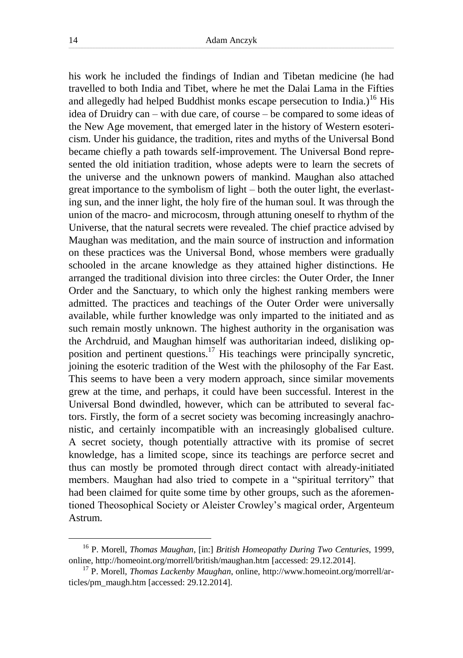his work he included the findings of Indian and Tibetan medicine (he had travelled to both India and Tibet, where he met the Dalai Lama in the Fifties and allegedly had helped Buddhist monks escape persecution to India.)<sup>16</sup> His idea of Druidry can – with due care, of course – be compared to some ideas of the New Age movement, that emerged later in the history of Western esotericism. Under his guidance, the tradition, rites and myths of the Universal Bond became chiefly a path towards self-improvement. The Universal Bond represented the old initiation tradition, whose adepts were to learn the secrets of the universe and the unknown powers of mankind. Maughan also attached great importance to the symbolism of light – both the outer light, the everlasting sun, and the inner light, the holy fire of the human soul. It was through the union of the macro- and microcosm, through attuning oneself to rhythm of the Universe, that the natural secrets were revealed. The chief practice advised by Maughan was meditation, and the main source of instruction and information on these practices was the Universal Bond, whose members were gradually schooled in the arcane knowledge as they attained higher distinctions. He arranged the traditional division into three circles: the Outer Order, the Inner Order and the Sanctuary, to which only the highest ranking members were admitted. The practices and teachings of the Outer Order were universally available, while further knowledge was only imparted to the initiated and as such remain mostly unknown. The highest authority in the organisation was the Archdruid, and Maughan himself was authoritarian indeed, disliking opposition and pertinent questions.<sup>17</sup> His teachings were principally syncretic, joining the esoteric tradition of the West with the philosophy of the Far East. This seems to have been a very modern approach, since similar movements grew at the time, and perhaps, it could have been successful. Interest in the Universal Bond dwindled, however, which can be attributed to several factors. Firstly, the form of a secret society was becoming increasingly anachronistic, and certainly incompatible with an increasingly globalised culture. A secret society, though potentially attractive with its promise of secret knowledge, has a limited scope, since its teachings are perforce secret and thus can mostly be promoted through direct contact with already-initiated members. Maughan had also tried to compete in a "spiritual territory" that had been claimed for quite some time by other groups, such as the aforementioned Theosophical Society or Aleister Crowley's magical order, Argenteum Astrum.

<sup>16</sup> P. Morell, *Thomas Maughan*, [in:] *British Homeopathy During Two Centuries*, 1999, online, http://homeoint.org/morrell/british/maughan.htm [accessed: 29.12.2014].

<sup>17</sup> P. Morell, *Thomas Lackenby Maughan*, online, http://www.homeoint.org/morrell/articles/pm\_maugh.htm [accessed: 29.12.2014].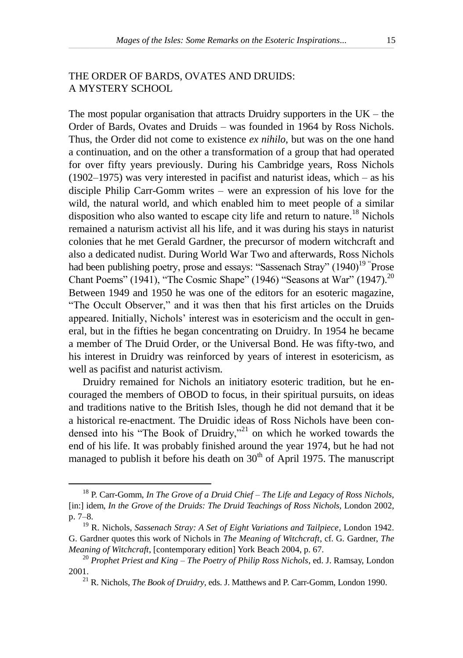## THE ORDER OF BARDS, OVATES AND DRUIDS: A MYSTERY SCHOOL

The most popular organisation that attracts Druidry supporters in the  $UK$  – the Order of Bards, Ovates and Druids – was founded in 1964 by Ross Nichols. Thus, the Order did not come to existence *ex nihilo*, but was on the one hand a continuation, and on the other a transformation of a group that had operated for over fifty years previously. During his Cambridge years, Ross Nichols (1902–1975) was very interested in pacifist and naturist ideas, which – as his disciple Philip Carr-Gomm writes – were an expression of his love for the wild, the natural world, and which enabled him to meet people of a similar disposition who also wanted to escape city life and return to nature.<sup>18</sup> Nichols remained a naturism activist all his life, and it was during his stays in naturist colonies that he met Gerald Gardner, the precursor of modern witchcraft and also a dedicated nudist. During World War Two and afterwards, Ross Nichols had been publishing poetry, prose and essays: "Sassenach Stray" (1940)<sup>19</sup> <sup>"</sup>Prose Chant Poems" (1941), "The Cosmic Shape" (1946) "Seasons at War" (1947).<sup>20</sup> Between 1949 and 1950 he was one of the editors for an esoteric magazine, "The Occult Observer," and it was then that his first articles on the Druids appeared. Initially, Nichols' interest was in esotericism and the occult in general, but in the fifties he began concentrating on Druidry. In 1954 he became a member of The Druid Order, or the Universal Bond. He was fifty-two, and his interest in Druidry was reinforced by years of interest in esotericism, as well as pacifist and naturist activism.

Druidry remained for Nichols an initiatory esoteric tradition, but he encouraged the members of OBOD to focus, in their spiritual pursuits, on ideas and traditions native to the British Isles, though he did not demand that it be a historical re-enactment. The Druidic ideas of Ross Nichols have been condensed into his "The Book of Druidry,"<sup>21</sup> on which he worked towards the end of his life. It was probably finished around the year 1974, but he had not managed to publish it before his death on  $30<sup>th</sup>$  of April 1975. The manuscript

<sup>18</sup> P. Carr-Gomm, *In The Grove of a Druid Chief – The Life and Legacy of Ross Nichols*, [in:] idem, *In the Grove of the Druids: The Druid Teachings of Ross Nichols*, London 2002, p. 7–8.

<sup>19</sup> R. Nichols, *Sassenach Stray: A Set of Eight Variations and Tailpiece*, London 1942. G. Gardner quotes this work of Nichols in *The Meaning of Witchcraft*, cf. G. Gardner, *The Meaning of Witchcraft*, [contemporary edition] York Beach 2004, p. 67.

<sup>20</sup> *Prophet Priest and King – The Poetry of Philip Ross Nichols*, ed. J. Ramsay, London 2001.

<sup>21</sup> R. Nichols, *The Book of Druidry*, eds. J. Matthews and P. Carr-Gomm, London 1990.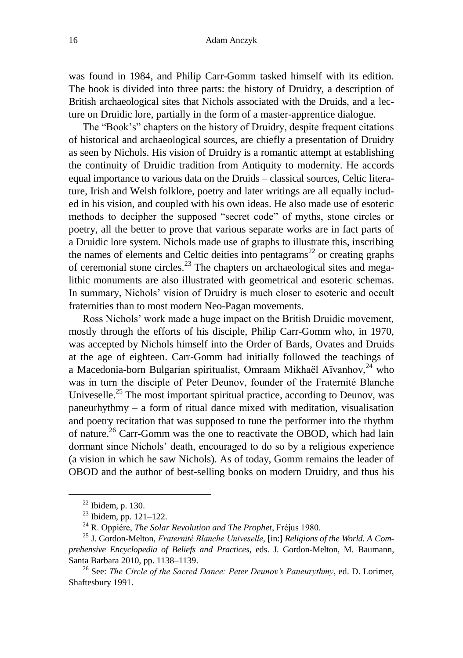was found in 1984, and Philip Carr-Gomm tasked himself with its edition. The book is divided into three parts: the history of Druidry, a description of British archaeological sites that Nichols associated with the Druids, and a lecture on Druidic lore, partially in the form of a master-apprentice dialogue.

The "Book's" chapters on the history of Druidry, despite frequent citations of historical and archaeological sources, are chiefly a presentation of Druidry as seen by Nichols. His vision of Druidry is a romantic attempt at establishing the continuity of Druidic tradition from Antiquity to modernity. He accords equal importance to various data on the Druids – classical sources, Celtic literature, Irish and Welsh folklore, poetry and later writings are all equally included in his vision, and coupled with his own ideas. He also made use of esoteric methods to decipher the supposed "secret code" of myths, stone circles or poetry, all the better to prove that various separate works are in fact parts of a Druidic lore system. Nichols made use of graphs to illustrate this, inscribing the names of elements and Celtic deities into pentagrams<sup>22</sup> or creating graphs of ceremonial stone circles.<sup>23</sup> The chapters on archaeological sites and megalithic monuments are also illustrated with geometrical and esoteric schemas. In summary, Nichols' vision of Druidry is much closer to esoteric and occult fraternities than to most modern Neo-Pagan movements.

Ross Nichols' work made a huge impact on the British Druidic movement, mostly through the efforts of his disciple, Philip Carr-Gomm who, in 1970, was accepted by Nichols himself into the Order of Bards, Ovates and Druids at the age of eighteen. Carr-Gomm had initially followed the teachings of a Macedonia-born Bulgarian spiritualist, Omraam Mikhaël Aïvanhov.<sup>24</sup> who was in turn the disciple of Peter Deunov, founder of the Fraternité Blanche Univeselle.<sup>25</sup> The most important spiritual practice, according to Deunov, was paneurhythmy – a form of ritual dance mixed with meditation, visualisation and poetry recitation that was supposed to tune the performer into the rhythm of nature.<sup>26</sup> Carr-Gomm was the one to reactivate the OBOD, which had lain dormant since Nichols' death, encouraged to do so by a religious experience (a vision in which he saw Nichols). As of today, Gomm remains the leader of OBOD and the author of best-selling books on modern Druidry, and thus his

 $22$  Ibidem, p. 130.

<sup>23</sup> Ibidem, pp. 121–122.

<sup>24</sup> R. Oppiére, *The Solar Revolution and The Prophet*, Fréjus 1980.

<sup>25</sup> J. Gordon-Melton, *Fraternité Blanche Univeselle*, [in:] *Religions of the World. A Comprehensive Encyclopedia of Beliefs and Practices*, eds. J. Gordon-Melton, M. Baumann, Santa Barbara 2010, pp. 1138–1139.

<sup>26</sup> See: *The Circle of the Sacred Dance: Peter Deunov's Paneurythmy*, ed. D. Lorimer, Shaftesbury 1991.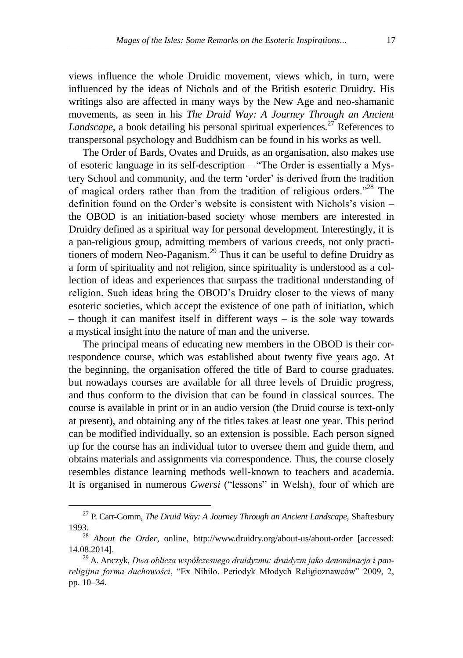views influence the whole Druidic movement, views which, in turn, were influenced by the ideas of Nichols and of the British esoteric Druidry. His writings also are affected in many ways by the New Age and neo-shamanic movements, as seen in his *The Druid Way: A Journey Through an Ancient Landscape*, a book detailing his personal spiritual experiences.<sup>27</sup> References to transpersonal psychology and Buddhism can be found in his works as well.

The Order of Bards, Ovates and Druids, as an organisation, also makes use of esoteric language in its self-description – "The Order is essentially a Mystery School and community, and the term 'order' is derived from the tradition of magical orders rather than from the tradition of religious orders."<sup>28</sup> The definition found on the Order's website is consistent with Nichols's vision – the OBOD is an initiation-based society whose members are interested in Druidry defined as a spiritual way for personal development. Interestingly, it is a pan-religious group, admitting members of various creeds, not only practitioners of modern Neo-Paganism.<sup>29</sup> Thus it can be useful to define Druidry as a form of spirituality and not religion, since spirituality is understood as a collection of ideas and experiences that surpass the traditional understanding of religion. Such ideas bring the OBOD's Druidry closer to the views of many esoteric societies, which accept the existence of one path of initiation, which – though it can manifest itself in different ways – is the sole way towards a mystical insight into the nature of man and the universe.

The principal means of educating new members in the OBOD is their correspondence course, which was established about twenty five years ago. At the beginning, the organisation offered the title of Bard to course graduates, but nowadays courses are available for all three levels of Druidic progress, and thus conform to the division that can be found in classical sources. The course is available in print or in an audio version (the Druid course is text-only at present), and obtaining any of the titles takes at least one year. This period can be modified individually, so an extension is possible. Each person signed up for the course has an individual tutor to oversee them and guide them, and obtains materials and assignments via correspondence. Thus, the course closely resembles distance learning methods well-known to teachers and academia. It is organised in numerous *Gwersi* ("lessons" in Welsh), four of which are

<sup>27</sup> P. Carr-Gomm, *The Druid Way: A Journey Through an Ancient Landscape*, Shaftesbury 1993.

<sup>28</sup> *About the Order*, online, http://www.druidry.org/about-us/about-order [accessed: 14.08.2014].

<sup>29</sup> A. Anczyk, *Dwa oblicza współczesnego druidyzmu: druidyzm jako denominacja i panreligijna forma duchowości*, "Ex Nihilo. Periodyk Młodych Religioznawców" 2009, 2, pp. 10–34.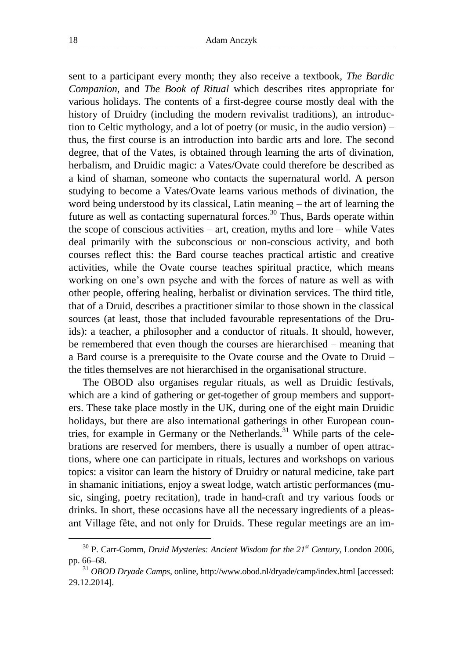sent to a participant every month; they also receive a textbook, *The Bardic Companion*, and *The Book of Ritual* which describes rites appropriate for various holidays. The contents of a first-degree course mostly deal with the history of Druidry (including the modern revivalist traditions), an introduction to Celtic mythology, and a lot of poetry (or music, in the audio version) – thus, the first course is an introduction into bardic arts and lore. The second degree, that of the Vates, is obtained through learning the arts of divination, herbalism, and Druidic magic: a Vates/Ovate could therefore be described as a kind of shaman, someone who contacts the supernatural world. A person studying to become a Vates/Ovate learns various methods of divination, the word being understood by its classical, Latin meaning – the art of learning the future as well as contacting supernatural forces.<sup>30</sup> Thus, Bards operate within the scope of conscious activities – art, creation, myths and lore – while Vates deal primarily with the subconscious or non-conscious activity, and both courses reflect this: the Bard course teaches practical artistic and creative activities, while the Ovate course teaches spiritual practice, which means working on one's own psyche and with the forces of nature as well as with other people, offering healing, herbalist or divination services. The third title, that of a Druid, describes a practitioner similar to those shown in the classical sources (at least, those that included favourable representations of the Druids): a teacher, a philosopher and a conductor of rituals. It should, however, be remembered that even though the courses are hierarchised – meaning that a Bard course is a prerequisite to the Ovate course and the Ovate to Druid – the titles themselves are not hierarchised in the organisational structure.

The OBOD also organises regular rituals, as well as Druidic festivals, which are a kind of gathering or get-together of group members and supporters. These take place mostly in the UK, during one of the eight main Druidic holidays, but there are also international gatherings in other European countries, for example in Germany or the Netherlands.<sup>31</sup> While parts of the celebrations are reserved for members, there is usually a number of open attractions, where one can participate in rituals, lectures and workshops on various topics: a visitor can learn the history of Druidry or natural medicine, take part in shamanic initiations, enjoy a sweat lodge, watch artistic performances (music, singing, poetry recitation), trade in hand-craft and try various foods or drinks. In short, these occasions have all the necessary ingredients of a pleasant Village fête, and not only for Druids. These regular meetings are an im-

<sup>30</sup> P. Carr-Gomm, *Druid Mysteries: Ancient Wisdom for the 21st Century*, London 2006, pp. 66–68.

<sup>31</sup> *OBOD Dryade Camps*, online, http://www.obod.nl/dryade/camp/index.html [accessed: 29.12.2014].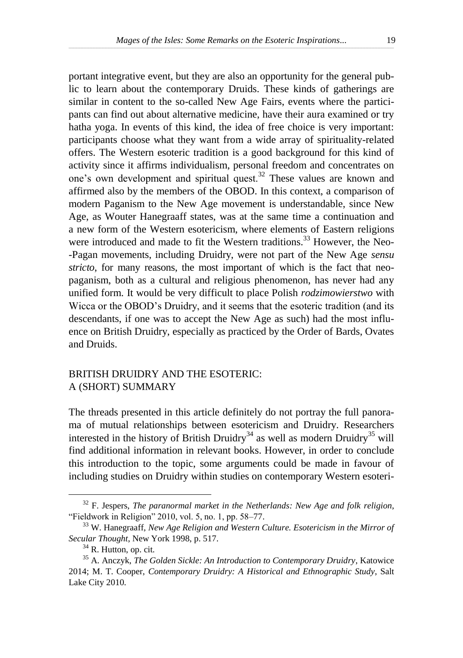portant integrative event, but they are also an opportunity for the general public to learn about the contemporary Druids. These kinds of gatherings are similar in content to the so-called New Age Fairs, events where the participants can find out about alternative medicine, have their aura examined or try hatha yoga. In events of this kind, the idea of free choice is very important: participants choose what they want from a wide array of spirituality-related offers. The Western esoteric tradition is a good background for this kind of activity since it affirms individualism, personal freedom and concentrates on one's own development and spiritual quest.<sup>32</sup> These values are known and affirmed also by the members of the OBOD. In this context, a comparison of modern Paganism to the New Age movement is understandable, since New Age, as Wouter Hanegraaff states, was at the same time a continuation and a new form of the Western esotericism, where elements of Eastern religions were introduced and made to fit the Western traditions.<sup>33</sup> However, the Neo--Pagan movements, including Druidry, were not part of the New Age *sensu stricto*, for many reasons, the most important of which is the fact that neopaganism, both as a cultural and religious phenomenon, has never had any unified form. It would be very difficult to place Polish *rodzimowierstwo* with Wicca or the OBOD's Druidry, and it seems that the esoteric tradition (and its descendants, if one was to accept the New Age as such) had the most influence on British Druidry, especially as practiced by the Order of Bards, Ovates and Druids.

## BRITISH DRUIDRY AND THE ESOTERIC: A (SHORT) SUMMARY

The threads presented in this article definitely do not portray the full panorama of mutual relationships between esotericism and Druidry. Researchers interested in the history of British Druidry<sup>34</sup> as well as modern Druidry<sup>35</sup> will find additional information in relevant books. However, in order to conclude this introduction to the topic, some arguments could be made in favour of including studies on Druidry within studies on contemporary Western esoteri-

<sup>32</sup> F. Jespers, *The paranormal market in the Netherlands: New Age and folk religion*, "Fieldwork in Religion" 2010, vol. 5, no. 1, pp. 58–77.

<sup>33</sup> W. Hanegraaff, *New Age Religion and Western Culture. Esotericism in the Mirror of Secular Thought*, New York 1998, p. 517.

<sup>34</sup> R. Hutton, op. cit*.*

<sup>35</sup> A. Anczyk, *The Golden Sickle: An Introduction to Contemporary Druidry*, Katowice 2014; M. T. Cooper, *Contemporary Druidry: A Historical and Ethnographic Study*, Salt Lake City 2010.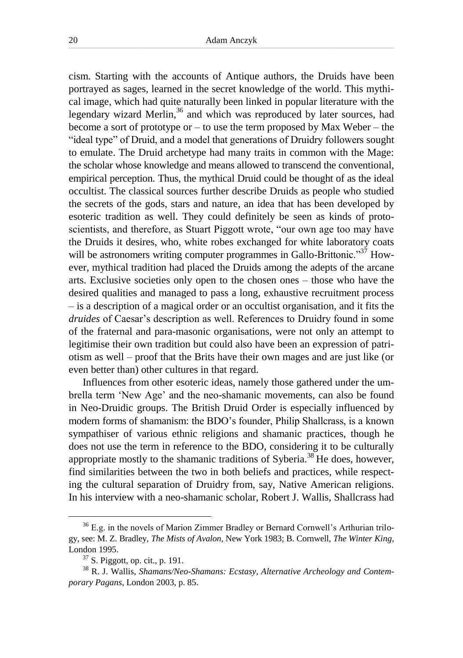cism. Starting with the accounts of Antique authors, the Druids have been portrayed as sages, learned in the secret knowledge of the world. This mythical image, which had quite naturally been linked in popular literature with the legendary wizard Merlin, $36$  and which was reproduced by later sources, had become a sort of prototype or  $-$  to use the term proposed by Max Weber  $-$  the "ideal type" of Druid, and a model that generations of Druidry followers sought to emulate. The Druid archetype had many traits in common with the Mage: the scholar whose knowledge and means allowed to transcend the conventional, empirical perception. Thus, the mythical Druid could be thought of as the ideal occultist. The classical sources further describe Druids as people who studied the secrets of the gods, stars and nature, an idea that has been developed by esoteric tradition as well. They could definitely be seen as kinds of protoscientists, and therefore, as Stuart Piggott wrote, "our own age too may have the Druids it desires, who, white robes exchanged for white laboratory coats will be astronomers writing computer programmes in Gallo-Brittonic."<sup>37</sup> However, mythical tradition had placed the Druids among the adepts of the arcane arts. Exclusive societies only open to the chosen ones – those who have the desired qualities and managed to pass a long, exhaustive recruitment process – is a description of a magical order or an occultist organisation, and it fits the *druides* of Caesar's description as well. References to Druidry found in some of the fraternal and para-masonic organisations, were not only an attempt to legitimise their own tradition but could also have been an expression of patriotism as well – proof that the Brits have their own mages and are just like (or even better than) other cultures in that regard.

Influences from other esoteric ideas, namely those gathered under the umbrella term 'New Age' and the neo-shamanic movements, can also be found in Neo-Druidic groups. The British Druid Order is especially influenced by modern forms of shamanism: the BDO's founder, Philip Shallcrass, is a known sympathiser of various ethnic religions and shamanic practices, though he does not use the term in reference to the BDO, considering it to be culturally appropriate mostly to the shamanic traditions of Syberia.<sup>38</sup> He does, however, find similarities between the two in both beliefs and practices, while respecting the cultural separation of Druidry from, say, Native American religions. In his interview with a neo-shamanic scholar, Robert J. Wallis, Shallcrass had

<sup>36</sup> E.g. in the novels of Marion Zimmer Bradley or Bernard Cornwell's Arthurian trilogy, see: M. Z. Bradley, *The Mists of Avalon*, New York 1983; B. Cornwell, *The Winter King*, London 1995.

 $37$  S. Piggott, op. cit., p. 191.

<sup>38</sup> R. J. Wallis, *Shamans/Neo-Shamans: Ecstasy, Alternative Archeology and Contemporary Pagans*, London 2003, p. 85.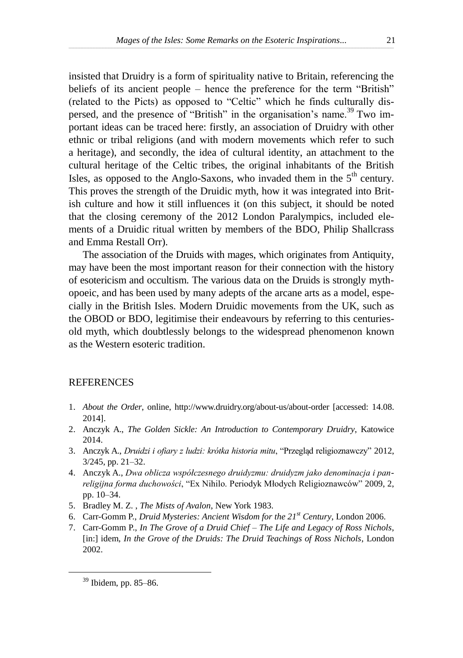insisted that Druidry is a form of spirituality native to Britain, referencing the beliefs of its ancient people – hence the preference for the term "British" (related to the Picts) as opposed to "Celtic" which he finds culturally dispersed, and the presence of "British" in the organisation's name.<sup>39</sup> Two important ideas can be traced here: firstly, an association of Druidry with other ethnic or tribal religions (and with modern movements which refer to such a heritage), and secondly, the idea of cultural identity, an attachment to the cultural heritage of the Celtic tribes, the original inhabitants of the British Isles, as opposed to the Anglo-Saxons, who invaded them in the  $5<sup>th</sup>$  century. This proves the strength of the Druidic myth, how it was integrated into British culture and how it still influences it (on this subject, it should be noted that the closing ceremony of the 2012 London Paralympics, included elements of a Druidic ritual written by members of the BDO, Philip Shallcrass and Emma Restall Orr).

The association of the Druids with mages, which originates from Antiquity, may have been the most important reason for their connection with the history of esotericism and occultism. The various data on the Druids is strongly mythopoeic, and has been used by many adepts of the arcane arts as a model, especially in the British Isles. Modern Druidic movements from the UK, such as the OBOD or BDO, legitimise their endeavours by referring to this centuriesold myth, which doubtlessly belongs to the widespread phenomenon known as the Western esoteric tradition.

#### **REFERENCES**

- 1. *About the Order*, online, http://www.druidry.org/about-us/about-order [accessed: 14.08. 2014].
- 2. Anczyk A., *The Golden Sickle: An Introduction to Contemporary Druidry*, Katowice 2014.
- 3. Anczyk A., *Druidzi i ofiary z ludzi: krótka historia mitu*, "Przegląd religioznawczy" 2012, 3/245, pp. 21–32.
- 4. Anczyk A., *Dwa oblicza współczesnego druidyzmu: druidyzm jako denominacja i panreligijna forma duchowości*, "Ex Nihilo. Periodyk Młodych Religioznawców" 2009, 2, pp. 10–34.
- 5. Bradley M. Z. , *The Mists of Avalon*, New York 1983.
- 6. Carr-Gomm P., *Druid Mysteries: Ancient Wisdom for the 21st Century*, London 2006.
- 7. Carr-Gomm P., *In The Grove of a Druid Chief – The Life and Legacy of Ross Nichols*, [in:] idem, *In the Grove of the Druids: The Druid Teachings of Ross Nichols*, London 2002.

<sup>39</sup> Ibidem, pp. 85–86.